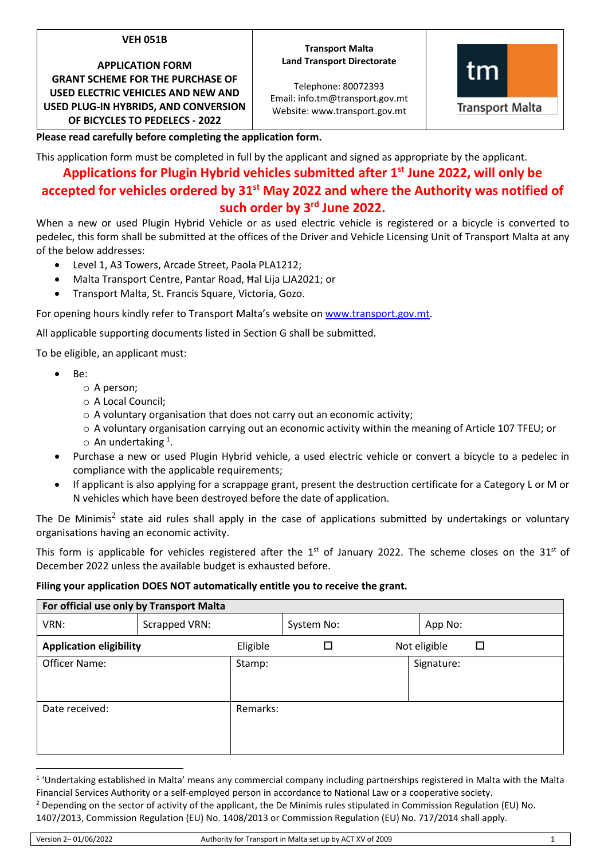## **VEH 051B**

**APPLICATION FORM GRANT SCHEME FOR THE PURCHASE OF USED ELECTRIC VEHICLES AND NEW AND USED PLUG-IN HYBRIDS, AND CONVERSION** 

**OF BICYCLES TO PEDELECS - 2022**

### **Transport Malta Land Transport Directorate**

Telephone: 80072393 Email: info.tm@transport.gov.mt Website: www.transport.gov.mt



**Transport Malta** 

**Please read carefully before completing the application form.**

This application form must be completed in full by the applicant and signed as appropriate by the applicant.

# **Applications for Plugin Hybrid vehicles submitted after 1 st June 2022, will only be accepted for vehicles ordered by 31 st May 2022 and where the Authority was notified of such order by 3 rd June 2022.**

When a new or used Plugin Hybrid Vehicle or as used electric vehicle is registered or a bicycle is converted to pedelec, this form shall be submitted at the offices of the Driver and Vehicle Licensing Unit of Transport Malta at any of the below addresses:

- Level 1, A3 Towers, Arcade Street, Paola PLA1212;
- Malta Transport Centre, Pantar Road, Ħal Lija LJA2021; or
- Transport Malta, St. Francis Square, Victoria, Gozo.

For opening hours kindly refer to Transport Malta's website o[n www.transport.gov.mt.](http://www.transport.gov.mt/)

All applicable supporting documents listed in Section G shall be submitted.

To be eligible, an applicant must:

- Be:
	- o A person;
	- o A Local Council;
	- $\circ$  A voluntary organisation that does not carry out an economic activity;
	- $\circ$  A voluntary organisation carrying out an economic activity within the meaning of Article 107 TFEU; or  $\circ$  An undertaking <sup>1</sup>.
- Purchase a new or used Plugin Hybrid vehicle, a used electric vehicle or convert a bicycle to a pedelec in compliance with the applicable requirements;
- If applicant is also applying for a scrappage grant, present the destruction certificate for a Category L or M or N vehicles which have been destroyed before the date of application.

The De Minimis<sup>2</sup> state aid rules shall apply in the case of applications submitted by undertakings or voluntary organisations having an economic activity.

This form is applicable for vehicles registered after the  $1<sup>st</sup>$  of January 2022. The scheme closes on the  $31<sup>st</sup>$  of December 2022 unless the available budget is exhausted before.

# **Filing your application DOES NOT automatically entitle you to receive the grant.**

| For official use only by Transport Malta |               |          |            |  |              |        |
|------------------------------------------|---------------|----------|------------|--|--------------|--------|
| VRN:                                     | Scrapped VRN: |          | System No: |  | App No:      |        |
| <b>Application eligibility</b>           |               | Eligible |            |  | Not eligible | $\Box$ |
| Officer Name:                            |               | Stamp:   |            |  | Signature:   |        |
| Date received:                           |               | Remarks: |            |  |              |        |

<sup>&</sup>lt;sup>1</sup> 'Undertaking established in Malta' means any commercial company including partnerships registered in Malta with the Malta Financial Services Authority or a self-employed person in accordance to National Law or a cooperative society. <sup>2</sup> Depending on the sector of activity of the applicant, the De Minimis rules stipulated in Commission Regulation (EU) No.

<sup>1407/2013,</sup> Commission Regulation (EU) No. 1408/2013 or Commission Regulation (EU) No. 717/2014 shall apply.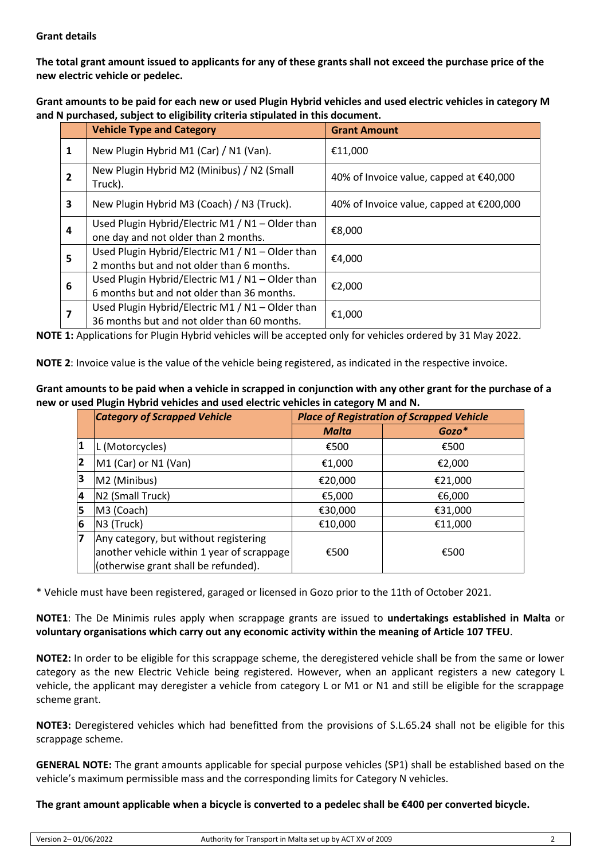# **Grant details**

**The total grant amount issued to applicants for any of these grants shall not exceed the purchase price of the new electric vehicle or pedelec.**

**Grant amounts to be paid for each new or used Plugin Hybrid vehicles and used electric vehicles in category M and N purchased, subject to eligibility criteria stipulated in this document.**

|   | <b>Vehicle Type and Category</b>                                                                | <b>Grant Amount</b>                      |
|---|-------------------------------------------------------------------------------------------------|------------------------------------------|
| 1 | New Plugin Hybrid M1 (Car) / N1 (Van).                                                          | €11,000                                  |
| 2 | New Plugin Hybrid M2 (Minibus) / N2 (Small<br>Truck).                                           | 40% of Invoice value, capped at €40,000  |
| 3 | New Plugin Hybrid M3 (Coach) / N3 (Truck).                                                      | 40% of Invoice value, capped at €200,000 |
| 4 | Used Plugin Hybrid/Electric M1 / N1 - Older than<br>one day and not older than 2 months.        | €8,000                                   |
| 5 | Used Plugin Hybrid/Electric M1 / N1 - Older than<br>2 months but and not older than 6 months.   | €4,000                                   |
| 6 | Used Plugin Hybrid/Electric M1 / N1 - Older than<br>6 months but and not older than 36 months.  | €2,000                                   |
|   | Used Plugin Hybrid/Electric M1 / N1 - Older than<br>36 months but and not older than 60 months. | €1,000                                   |

**NOTE 1:** Applications for Plugin Hybrid vehicles will be accepted only for vehicles ordered by 31 May 2022.

**NOTE 2**: Invoice value is the value of the vehicle being registered, as indicated in the respective invoice.

| Grant amounts to be paid when a vehicle in scrapped in conjunction with any other grant for the purchase of a |
|---------------------------------------------------------------------------------------------------------------|
| new or used Plugin Hybrid vehicles and used electric vehicles in category M and N.                            |

|                         | <b>Category of Scrapped Vehicle</b>                                                |              | <b>Place of Registration of Scrapped Vehicle</b> |
|-------------------------|------------------------------------------------------------------------------------|--------------|--------------------------------------------------|
|                         |                                                                                    | <b>Malta</b> | Gozo*                                            |
| 1                       | L (Motorcycles)                                                                    | €500         | €500                                             |
| 2                       | M1 (Car) or N1 (Van)                                                               | €1,000       | €2,000                                           |
| 3                       | M2 (Minibus)                                                                       | €20,000      | €21,000                                          |
| $\overline{\mathbf{4}}$ | N <sub>2</sub> (Small Truck)                                                       | €5,000       | €6,000                                           |
| 5                       | M3 (Coach)                                                                         | €30,000      | €31,000                                          |
| $6\phantom{1}6$         | N3 (Truck)                                                                         | €10,000      | €11,000                                          |
| 17                      | Any category, but without registering                                              |              |                                                  |
|                         | another vehicle within 1 year of scrappage<br>(otherwise grant shall be refunded). | €500         | €500                                             |

\* Vehicle must have been registered, garaged or licensed in Gozo prior to the 11th of October 2021.

**NOTE1**: The De Minimis rules apply when scrappage grants are issued to **undertakings established in Malta** or **voluntary organisations which carry out any economic activity within the meaning of Article 107 TFEU**.

**NOTE2:** In order to be eligible for this scrappage scheme, the deregistered vehicle shall be from the same or lower category as the new Electric Vehicle being registered. However, when an applicant registers a new category L vehicle, the applicant may deregister a vehicle from category L or M1 or N1 and still be eligible for the scrappage scheme grant.

**NOTE3:** Deregistered vehicles which had benefitted from the provisions of S.L.65.24 shall not be eligible for this scrappage scheme.

**GENERAL NOTE:** The grant amounts applicable for special purpose vehicles (SP1) shall be established based on the vehicle's maximum permissible mass and the corresponding limits for Category N vehicles.

# **The grant amount applicable when a bicycle is converted to a pedelec shall be €400 per converted bicycle.**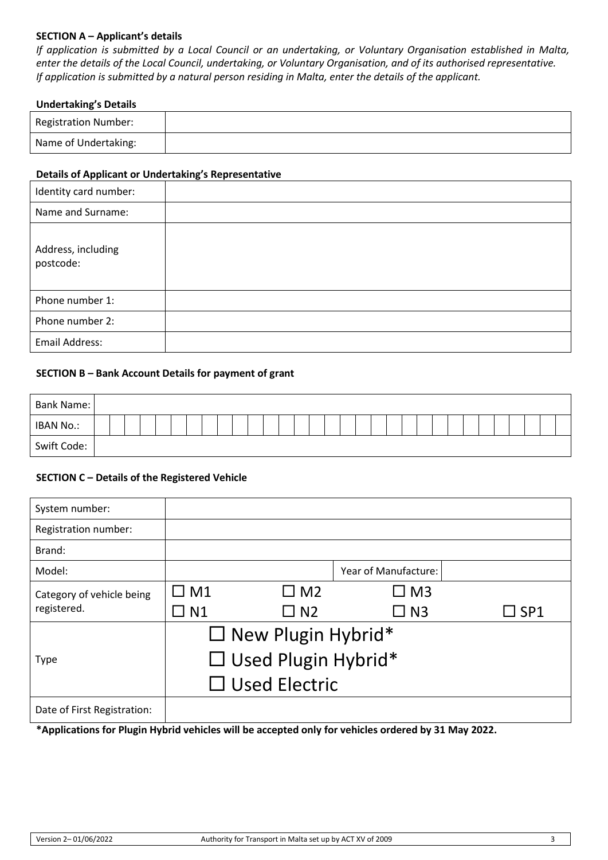# **SECTION A – Applicant's details**

*If application is submitted by a Local Council or an undertaking, or Voluntary Organisation established in Malta, enter the details of the Local Council, undertaking, or Voluntary Organisation, and of its authorised representative. If application is submitted by a natural person residing in Malta, enter the details of the applicant.*

### **Undertaking's Details**

| <b>Registration Number:</b> |  |
|-----------------------------|--|
| Name of Undertaking:        |  |

### **Details of Applicant or Undertaking's Representative**

| Identity card number:           |  |
|---------------------------------|--|
| Name and Surname:               |  |
| Address, including<br>postcode: |  |
| Phone number 1:                 |  |
| Phone number 2:                 |  |
| <b>Email Address:</b>           |  |

### **SECTION B – Bank Account Details for payment of grant**

| Bank Name:  |  |  |  |  |  |  |  |  |  |  |  |  |  |  |  |  |
|-------------|--|--|--|--|--|--|--|--|--|--|--|--|--|--|--|--|
| IBAN No.:   |  |  |  |  |  |  |  |  |  |  |  |  |  |  |  |  |
| Swift Code: |  |  |  |  |  |  |  |  |  |  |  |  |  |  |  |  |

### **SECTION C – Details of the Registered Vehicle**

| System number:              |                            |                           |                      |                 |  |  |  |  |  |
|-----------------------------|----------------------------|---------------------------|----------------------|-----------------|--|--|--|--|--|
| Registration number:        |                            |                           |                      |                 |  |  |  |  |  |
| Brand:                      |                            |                           |                      |                 |  |  |  |  |  |
| Model:                      |                            |                           | Year of Manufacture: |                 |  |  |  |  |  |
| Category of vehicle being   | $\Box$ M1                  | $\Box$ M2                 | 3 M L                |                 |  |  |  |  |  |
| registered.                 | $\Box$ N1                  | $\square$ N2              | $\Box$ N3            | $\sqsupset$ SP1 |  |  |  |  |  |
|                             |                            | $\Box$ New Plugin Hybrid* |                      |                 |  |  |  |  |  |
| <b>Type</b>                 | $\Box$ Used Plugin Hybrid* |                           |                      |                 |  |  |  |  |  |
|                             | $\Box$ Used Electric       |                           |                      |                 |  |  |  |  |  |
| Date of First Registration: |                            |                           |                      |                 |  |  |  |  |  |

**\*Applications for Plugin Hybrid vehicles will be accepted only for vehicles ordered by 31 May 2022.**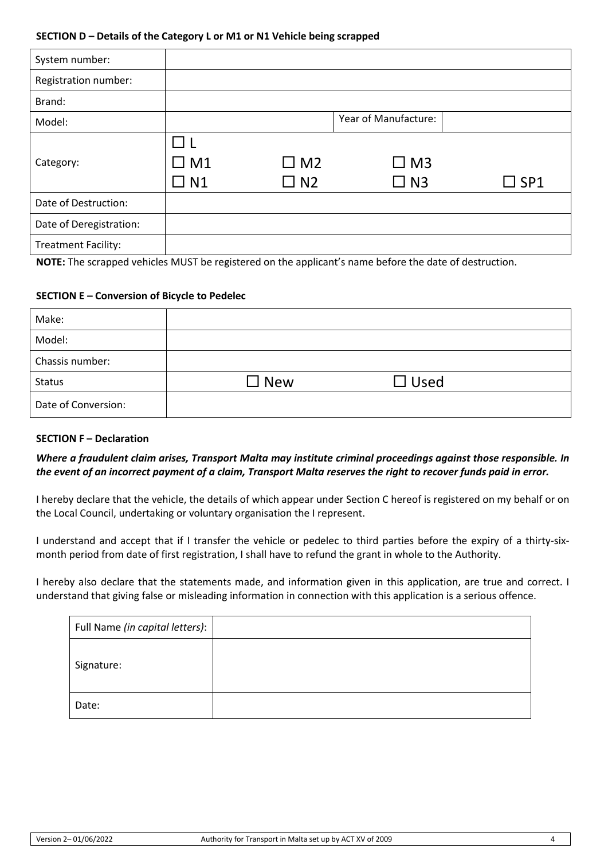#### **SECTION D – Details of the Category L or M1 or N1 Vehicle being scrapped**

| System number:                       |                           |                        |                                                                                                                 |               |
|--------------------------------------|---------------------------|------------------------|-----------------------------------------------------------------------------------------------------------------|---------------|
| Registration number:                 |                           |                        |                                                                                                                 |               |
| Brand:                               |                           |                        |                                                                                                                 |               |
| Model:                               |                           |                        | Year of Manufacture:                                                                                            |               |
| Category:                            | $\Box$ M1<br>$\square$ N1 | $\Box$ M2<br>$\Box$ N2 | $\square$ M3<br>$\Box$ N3                                                                                       | $\square$ SP1 |
| Date of Destruction:                 |                           |                        |                                                                                                                 |               |
| Date of Deregistration:              |                           |                        |                                                                                                                 |               |
| <b>Treatment Facility:</b><br>--- -- |                           |                        | tion of the contract of the contract of the contract of the contract of the contract of the contract of the con |               |

**NOTE:** The scrapped vehicles MUST be registered on the applicant's name before the date of destruction.

### **SECTION E – Conversion of Bicycle to Pedelec**

| Make:               |               |             |  |
|---------------------|---------------|-------------|--|
| Model:              |               |             |  |
| Chassis number:     |               |             |  |
| <b>Status</b>       | $\square$ New | $\Box$ Used |  |
| Date of Conversion: |               |             |  |

### **SECTION F – Declaration**

# *Where a fraudulent claim arises, Transport Malta may institute criminal proceedings against those responsible. In the event of an incorrect payment of a claim, Transport Malta reserves the right to recover funds paid in error.*

I hereby declare that the vehicle, the details of which appear under Section C hereof is registered on my behalf or on the Local Council, undertaking or voluntary organisation the I represent.

I understand and accept that if I transfer the vehicle or pedelec to third parties before the expiry of a thirty-sixmonth period from date of first registration, I shall have to refund the grant in whole to the Authority.

I hereby also declare that the statements made, and information given in this application, are true and correct. I understand that giving false or misleading information in connection with this application is a serious offence.

| Full Name (in capital letters): |  |
|---------------------------------|--|
| Signature:                      |  |
| Date:                           |  |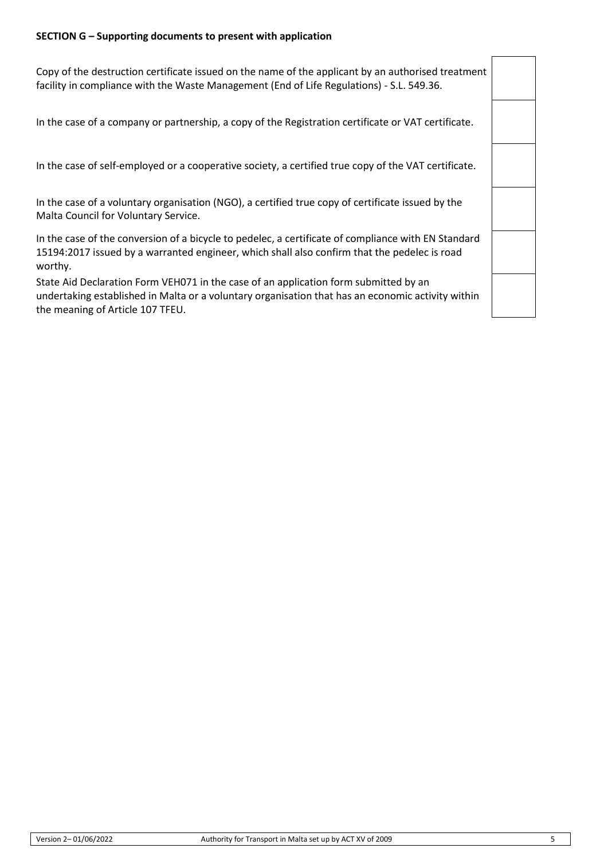### **SECTION G – Supporting documents to present with application**

Copy of the destruction certificate issued on the name of the applicant by an authorised treatment facility in compliance with the Waste Management (End of Life Regulations) - S.L. 549.36.

In the case of a company or partnership, a copy of the Registration certificate or VAT certificate.

In the case of self-employed or a cooperative society, a certified true copy of the VAT certificate.

In the case of a voluntary organisation (NGO), a certified true copy of certificate issued by the Malta Council for Voluntary Service.

In the case of the conversion of a bicycle to pedelec, a certificate of compliance with EN Standard 15194:2017 issued by a warranted engineer, which shall also confirm that the pedelec is road worthy.

State Aid Declaration Form VEH071 in the case of an application form submitted by an undertaking established in Malta or a voluntary organisation that has an economic activity within the meaning of Article 107 TFEU.